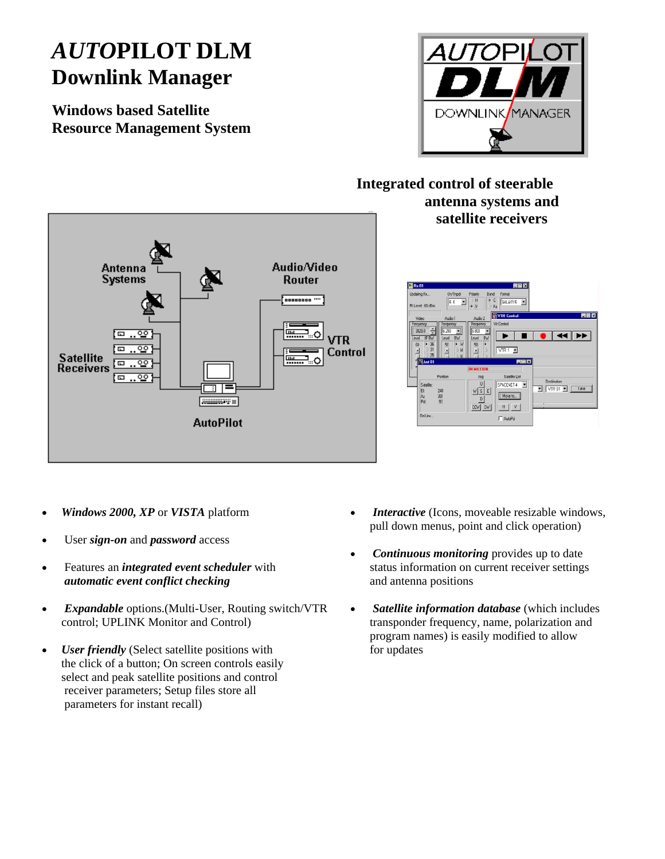## *AUTO***PILOT DLM Downlink Manager**

**Windows based Satellite Resource Management System**



## **Integrated control of steerable antenna systems and satellite receivers**





- *Windows 2000, XP* or *VISTA* platform
- User *sign-on* and *password* access
- Features an *integrated event scheduler* with *automatic event conflict checking*
- *Expandable* options.(Multi-User, Routing switch/VTR control; UPLINK Monitor and Control)
- *User friendly* (Select satellite positions with the click of a button; On screen controls easily select and peak satellite positions and control receiver parameters; Setup files store all parameters for instant recall)
- *Interactive* (Icons, moveable resizable windows, pull down menus, point and click operation)
- *Continuous monitoring* provides up to date status information on current receiver settings and antenna positions
- *Satellite information database* (which includes transponder frequency, name, polarization and program names) is easily modified to allow for updates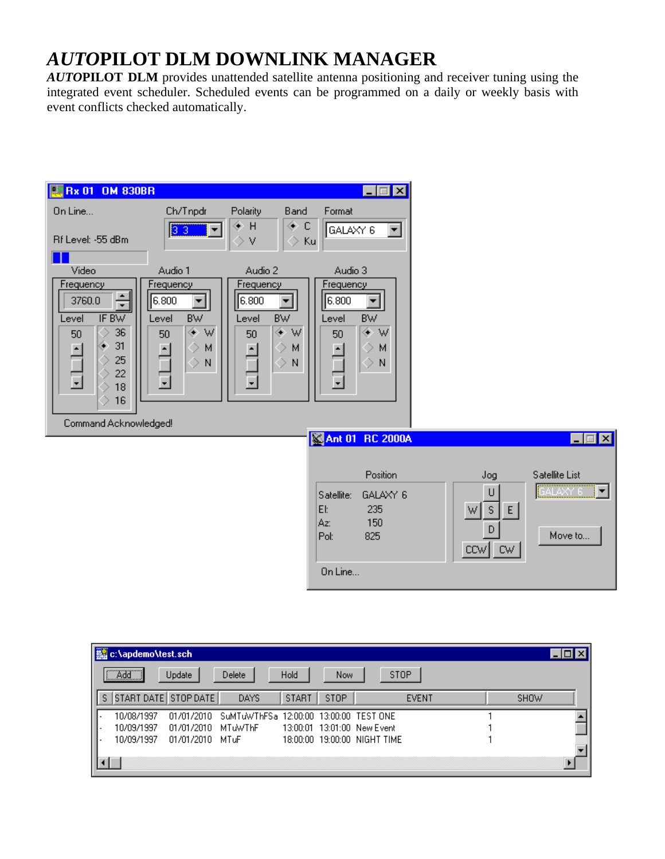## *AUTO***PILOT DLM DOWNLINK MANAGER**

*AUTO***PILOT DLM** provides unattended satellite antenna positioning and receiver tuning using the integrated event scheduler. Scheduled events can be programmed on a daily or weekly basis with event conflicts checked automatically.

| <b>EX Bx 01 OM 830BR</b>                               |                                                                               |                                   |                          | $\Box$ d $\boxtimes$                                                                  |                          |                 |
|--------------------------------------------------------|-------------------------------------------------------------------------------|-----------------------------------|--------------------------|---------------------------------------------------------------------------------------|--------------------------|-----------------|
| On Line                                                | Ch/Tnpdr                                                                      | Polarity                          | Band                     | Format                                                                                |                          |                 |
| Rf Level: -55 dBm                                      | 33                                                                            | ⊕ H<br>V                          | ◈<br>C<br>◇<br>Ku        | GALAXY 6                                                                              |                          |                 |
| Video                                                  | Audio 1                                                                       | Audio 2                           |                          | Audio 3                                                                               |                          |                 |
| Frequency<br>÷<br>3760.0<br>IF BW<br>Level<br>36<br>50 | Frequency<br>6.800<br>$\blacktriangledown$<br><b>BW</b><br>Level<br>⊛ W<br>50 | Frequency<br>6.800<br>Level<br>50 | ▼<br><b>BW</b><br>۰<br>W | Frequency<br>6.800<br>$\blacktriangledown$<br><b>BW</b><br>Level<br>۰<br>W<br>50      |                          |                 |
| 31<br>25<br>22<br>18                                   | ⇒<br>м<br>$\hat{\phantom{0}}$<br>N                                            | ٠                                 | м<br>$\mathcal{P}$<br>N  | $\hat{\phantom{0}}$<br>М<br>٠<br>$\hat{\phantom{0}}$<br>N<br>$\overline{\phantom{0}}$ |                          |                 |
| 16                                                     |                                                                               |                                   |                          |                                                                                       |                          |                 |
| Command Acknowledged!                                  |                                                                               |                                   |                          | Ant 01 RC 2000A                                                                       |                          | $\Box$ d $\Box$ |
|                                                        |                                                                               |                                   |                          |                                                                                       |                          |                 |
|                                                        |                                                                               |                                   |                          | Position                                                                              | Jog                      | Satellite List  |
|                                                        |                                                                               |                                   |                          | GALAXY 6<br>Satellite:<br>EI:<br>235<br>150<br>Az:                                    | U<br>${\sf S}$<br>E<br>W | ▼               |
|                                                        |                                                                               |                                   |                          | 825<br>Pol:                                                                           | D<br>$ CW $ CW           | Move to         |
|                                                        |                                                                               |                                   |                          | On Line                                                                               |                          |                 |

| c:\apdemo\test.sch |                      |                                                   |              |      |                              |              |             |  |
|--------------------|----------------------|---------------------------------------------------|--------------|------|------------------------------|--------------|-------------|--|
| <u>i Addi</u>      | Update               | Delete                                            | Hold         | Now. | <b>STOP</b>                  |              |             |  |
| S.                 | START DATE STOP DATE | DAYS                                              | <b>START</b> | STOP |                              | <b>EVENT</b> | <b>SHOW</b> |  |
| 10/08/1997         |                      | 01/01/2010 SuMTuWThFSa 12:00:00 13:00:00 TEST ONE |              |      |                              |              |             |  |
| 10/09/1997         | 01/01/2010 MTuWThF   |                                                   |              |      | 13:00:01 13:01:00 New Event  |              |             |  |
| 10/09/1997         | 01/01/2010 MTuF      |                                                   |              |      | 18:00:00 19:00:00 NIGHT TIME |              |             |  |
|                    |                      |                                                   |              |      |                              |              |             |  |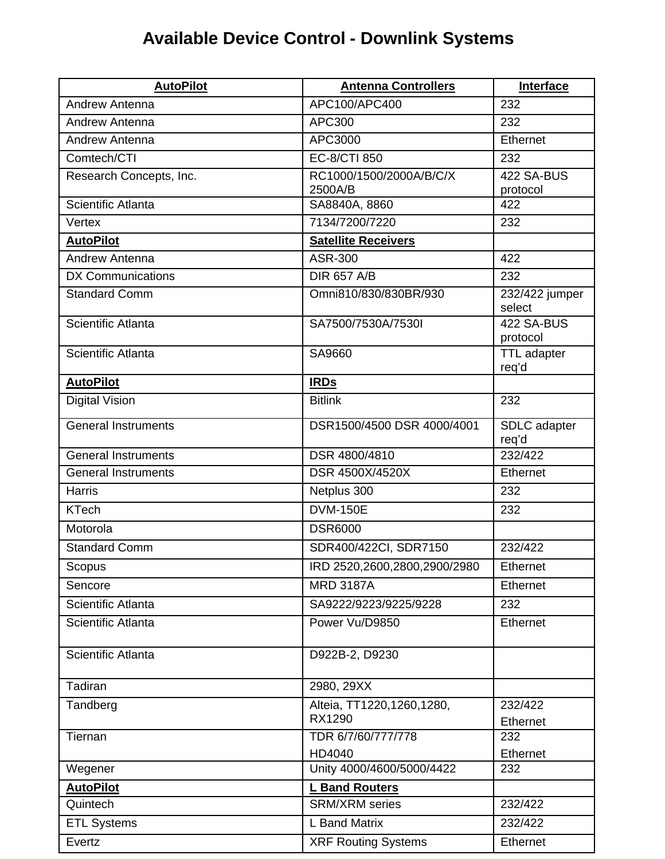## **Available Device Control - Downlink Systems**

| <b>AutoPilot</b>           | <b>Antenna Controllers</b>   | Interface                   |
|----------------------------|------------------------------|-----------------------------|
| Andrew Antenna             | APC100/APC400                | 232                         |
| Andrew Antenna             | APC300                       | 232                         |
| Andrew Antenna             | APC3000                      | Ethernet                    |
| Comtech/CTI                | EC-8/CTI 850                 | 232                         |
| Research Concepts, Inc.    | RC1000/1500/2000A/B/C/X      | 422 SA-BUS                  |
|                            | 2500A/B                      | protocol                    |
| Scientific Atlanta         | SA8840A, 8860                | 422                         |
| Vertex                     | 7134/7200/7220               | 232                         |
| <b>AutoPilot</b>           | <b>Satellite Receivers</b>   |                             |
| Andrew Antenna             | ASR-300                      | 422                         |
| <b>DX Communications</b>   | <b>DIR 657 A/B</b>           | 232                         |
| <b>Standard Comm</b>       | Omni810/830/830BR/930        | 232/422 jumper<br>select    |
| Scientific Atlanta         | SA7500/7530A/7530I           | 422 SA-BUS<br>protocol      |
| Scientific Atlanta         | SA9660                       | <b>TTL</b> adapter<br>req'd |
| <b>AutoPilot</b>           | <b>IRDs</b>                  |                             |
| <b>Digital Vision</b>      | <b>Bitlink</b>               | 232                         |
| General Instruments        | DSR1500/4500 DSR 4000/4001   | SDLC adapter<br>req'd       |
| <b>General Instruments</b> | DSR 4800/4810                | 232/422                     |
| <b>General Instruments</b> | DSR 4500X/4520X              | Ethernet                    |
| <b>Harris</b>              | Netplus 300                  | 232                         |
| <b>KTech</b>               | <b>DVM-150E</b>              | 232                         |
| Motorola                   | <b>DSR6000</b>               |                             |
| <b>Standard Comm</b>       | SDR400/422CI, SDR7150        | 232/422                     |
| Scopus                     | IRD 2520,2600,2800,2900/2980 | Ethernet                    |
| Sencore                    | <b>MRD 3187A</b>             | <b>Ethernet</b>             |
| Scientific Atlanta         | SA9222/9223/9225/9228        | 232                         |
| Scientific Atlanta         | Power Vu/D9850               | Ethernet                    |
| Scientific Atlanta         | D922B-2, D9230               |                             |
| Tadiran                    | 2980, 29XX                   |                             |
| Tandberg                   | Alteia, TT1220,1260,1280,    | 232/422                     |
|                            | RX1290                       | Ethernet                    |
| Tiernan                    | TDR 6/7/60/777/778           | 232                         |
|                            | HD4040                       | Ethernet                    |
| Wegener                    | Unity 4000/4600/5000/4422    | 232                         |
| <b>AutoPilot</b>           | <b>L Band Routers</b>        |                             |
| Quintech                   | <b>SRM/XRM</b> series        | 232/422                     |
| <b>ETL Systems</b>         | L Band Matrix                | 232/422                     |
| Evertz                     | <b>XRF Routing Systems</b>   | Ethernet                    |